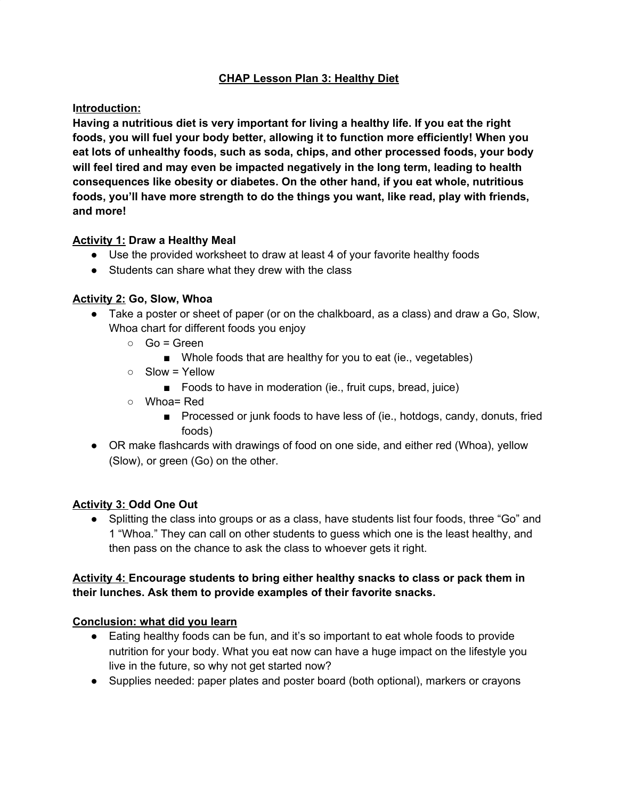# **CHAP Lesson Plan 3: Healthy Diet**

### **Introduction:**

**Having a nutritious diet is very important for living a healthy life. If you eat the right foods, you will fuel your body better, allowing it to function more efficiently! When you eat lots of unhealthy foods, such as soda, chips, and other processed foods, your body will feel tired and may even be impacted negatively in the long term, leading to health consequences like obesity or diabetes. On the other hand, if you eat whole, nutritious foods, you'll have more strength to do the things you want, like read, play with friends, and more!**

### **Activity 1: Draw a Healthy Meal**

- Use the provided worksheet to draw at least 4 of your favorite healthy foods
- Students can share what they drew with the class

### **Activity 2: Go, Slow, Whoa**

- Take a poster or sheet of paper (or on the chalkboard, as a class) and draw a Go, Slow, Whoa chart for different foods you enjoy
	- $\circ$  Go = Green
		- Whole foods that are healthy for you to eat (ie., vegetables)
	- Slow = Yellow
		- Foods to have in moderation (ie., fruit cups, bread, juice)
	- Whoa= Red
		- Processed or junk foods to have less of (ie., hotdogs, candy, donuts, fried foods)
- OR make flashcards with drawings of food on one side, and either red (Whoa), yellow (Slow), or green (Go) on the other.

# **Activity 3: Odd One Out**

• Splitting the class into groups or as a class, have students list four foods, three "Go" and 1 "Whoa." They can call on other students to guess which one is the least healthy, and then pass on the chance to ask the class to whoever gets it right.

### **Activity 4: Encourage students to bring either healthy snacks to class or pack them in their lunches. Ask them to provide examples of their favorite snacks.**

#### **Conclusion: what did you learn**

- Eating healthy foods can be fun, and it's so important to eat whole foods to provide nutrition for your body. What you eat now can have a huge impact on the lifestyle you live in the future, so why not get started now?
- Supplies needed: paper plates and poster board (both optional), markers or crayons